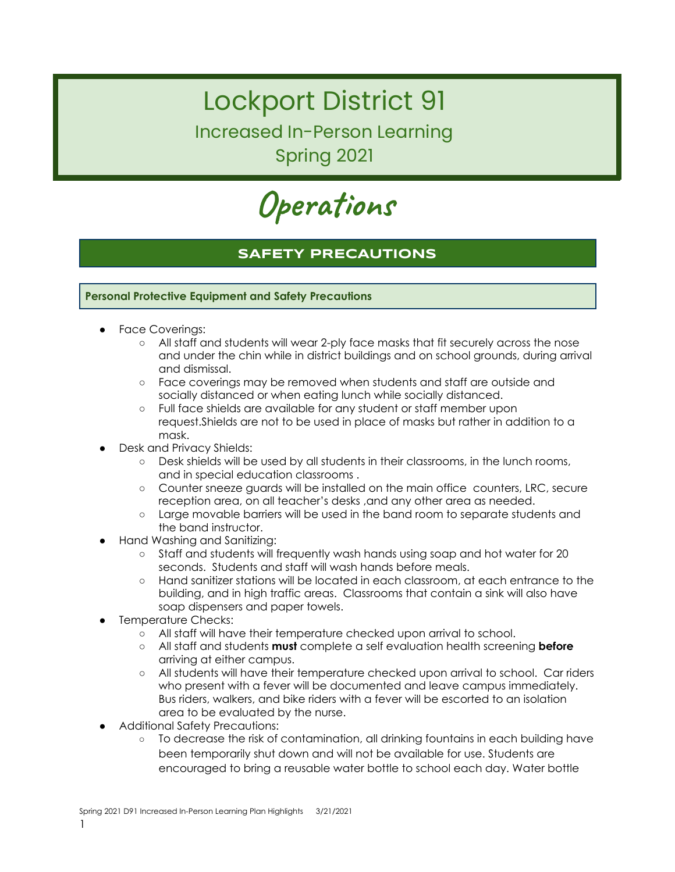## Lockport District 91

Increased In-Person Learning Spring 2021

**Operations**

## **SAFETY PRECAUTIONS**

#### **Personal Protective Equipment and Safety Precautions**

- Face Coverings:
	- All staff and students will wear 2-ply face masks that fit securely across the nose and under the chin while in district buildings and on school grounds, during arrival and dismissal.
	- Face coverings may be removed when students and staff are outside and socially distanced or when eating lunch while socially distanced.
	- Full face shields are available for any student or staff member upon request.Shields are not to be used in place of masks but rather in addition to a mask.
- Desk and Privacy Shields:
	- Desk shields will be used by all students in their classrooms, in the lunch rooms, and in special education classrooms .
	- Counter sneeze guards will be installed on the main office counters, LRC, secure reception area, on all teacher's desks ,and any other area as needed.
	- Large movable barriers will be used in the band room to separate students and the band instructor.
- Hand Washing and Sanitizing:
	- Staff and students will frequently wash hands using soap and hot water for 20 seconds. Students and staff will wash hands before meals.
	- Hand sanitizer stations will be located in each classroom, at each entrance to the building, and in high traffic areas. Classrooms that contain a sink will also have soap dispensers and paper towels.
- Temperature Checks:
	- All staff will have their temperature checked upon arrival to school.
	- All staff and students **must** complete a self evaluation health screening **before** arriving at either campus.
	- All students will have their temperature checked upon arrival to school. Car riders who present with a fever will be documented and leave campus immediately. Bus riders, walkers, and bike riders with a fever will be escorted to an isolation area to be evaluated by the nurse.
- **Additional Safety Precautions:** 
	- To decrease the risk of contamination, all drinking fountains in each building have been temporarily shut down and will not be available for use. Students are encouraged to bring a reusable water bottle to school each day. Water bottle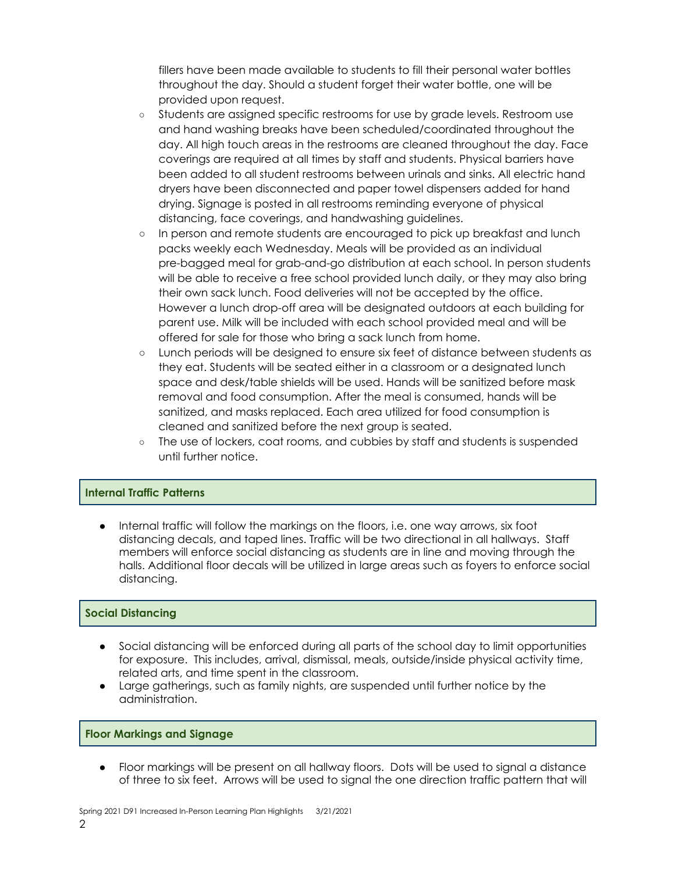fillers have been made available to students to fill their personal water bottles throughout the day. Should a student forget their water bottle, one will be provided upon request.

- Students are assigned specific restrooms for use by grade levels. Restroom use and hand washing breaks have been scheduled/coordinated throughout the day. All high touch areas in the restrooms are cleaned throughout the day. Face coverings are required at all times by staff and students. Physical barriers have been added to all student restrooms between urinals and sinks. All electric hand dryers have been disconnected and paper towel dispensers added for hand drying. Signage is posted in all restrooms reminding everyone of physical distancing, face coverings, and handwashing guidelines.
- In person and remote students are encouraged to pick up breakfast and lunch packs weekly each Wednesday. Meals will be provided as an individual pre-bagged meal for grab-and-go distribution at each school. In person students will be able to receive a free school provided lunch daily, or they may also bring their own sack lunch. Food deliveries will not be accepted by the office. However a lunch drop-off area will be designated outdoors at each building for parent use. Milk will be included with each school provided meal and will be offered for sale for those who bring a sack lunch from home.
- Lunch periods will be designed to ensure six feet of distance between students as they eat. Students will be seated either in a classroom or a designated lunch space and desk/table shields will be used. Hands will be sanitized before mask removal and food consumption. After the meal is consumed, hands will be sanitized, and masks replaced. Each area utilized for food consumption is cleaned and sanitized before the next group is seated.
- The use of lockers, coat rooms, and cubbies by staff and students is suspended until further notice.

#### **Internal Traffic Patterns**

Internal traffic will follow the markings on the floors, i.e. one way arrows, six foot distancing decals, and taped lines. Traffic will be two directional in all hallways. Staff members will enforce social distancing as students are in line and moving through the halls. Additional floor decals will be utilized in large areas such as foyers to enforce social distancing.

#### **Social Distancing**

- Social distancing will be enforced during all parts of the school day to limit opportunities for exposure. This includes, arrival, dismissal, meals, outside/inside physical activity time, related arts, and time spent in the classroom.
- Large gatherings, such as family nights, are suspended until further notice by the administration.

#### **Floor Markings and Signage**

● Floor markings will be present on all hallway floors. Dots will be used to signal a distance of three to six feet. Arrows will be used to signal the one direction traffic pattern that will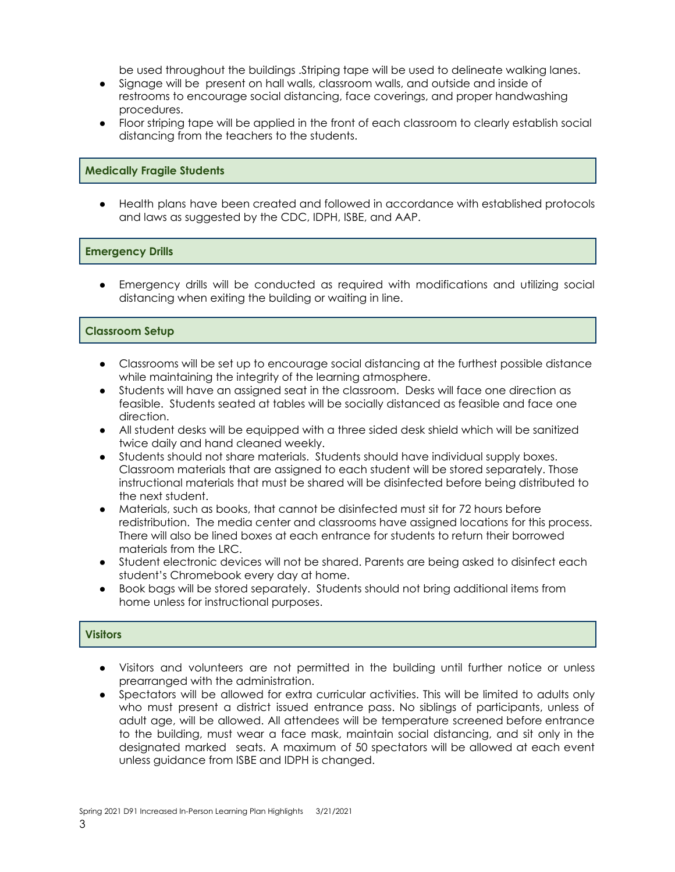be used throughout the buildings .Striping tape will be used to delineate walking lanes.

- Signage will be present on hall walls, classroom walls, and outside and inside of restrooms to encourage social distancing, face coverings, and proper handwashing procedures.
- Floor striping tape will be applied in the front of each classroom to clearly establish social distancing from the teachers to the students.

#### **Medically Fragile Students**

Health plans have been created and followed in accordance with established protocols and laws as suggested by the CDC, IDPH, ISBE, and AAP.

#### **Emergency Drills**

● Emergency drills will be conducted as required with modifications and utilizing social distancing when exiting the building or waiting in line.

#### **Classroom Setup**

- Classrooms will be set up to encourage social distancing at the furthest possible distance while maintaining the integrity of the learning atmosphere.
- Students will have an assigned seat in the classroom. Desks will face one direction as feasible. Students seated at tables will be socially distanced as feasible and face one direction.
- All student desks will be equipped with a three sided desk shield which will be sanitized twice daily and hand cleaned weekly.
- Students should not share materials. Students should have individual supply boxes. Classroom materials that are assigned to each student will be stored separately. Those instructional materials that must be shared will be disinfected before being distributed to the next student.
- Materials, such as books, that cannot be disinfected must sit for 72 hours before redistribution. The media center and classrooms have assigned locations for this process. There will also be lined boxes at each entrance for students to return their borrowed materials from the LRC.
- Student electronic devices will not be shared. Parents are being asked to disinfect each student's Chromebook every day at home.
- Book bags will be stored separately. Students should not bring additional items from home unless for instructional purposes.

#### **Visitors**

- Visitors and volunteers are not permitted in the building until further notice or unless prearranged with the administration.
- Spectators will be allowed for extra curricular activities. This will be limited to adults only who must present a district issued entrance pass. No siblings of participants, unless of adult age, will be allowed. All attendees will be temperature screened before entrance to the building, must wear a face mask, maintain social distancing, and sit only in the designated marked seats. A maximum of 50 spectators will be allowed at each event unless guidance from ISBE and IDPH is changed.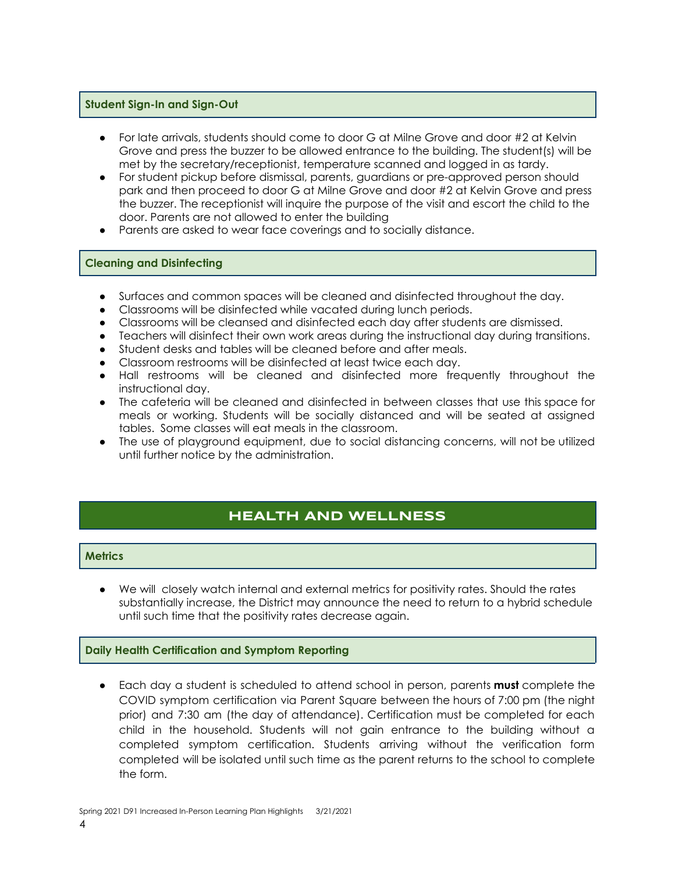#### **Student Sign-In and Sign-Out**

- For late arrivals, students should come to door G at Milne Grove and door #2 at Kelvin Grove and press the buzzer to be allowed entrance to the building. The student(s) will be met by the secretary/receptionist, temperature scanned and logged in as tardy.
- For student pickup before dismissal, parents, guardians or pre-approved person should park and then proceed to door G at Milne Grove and door #2 at Kelvin Grove and press the buzzer. The receptionist will inquire the purpose of the visit and escort the child to the door. Parents are not allowed to enter the building
- Parents are asked to wear face coverings and to socially distance.

#### **Cleaning and Disinfecting**

- Surfaces and common spaces will be cleaned and disinfected throughout the day.
- Classrooms will be disinfected while vacated during lunch periods.
- Classrooms will be cleansed and disinfected each day after students are dismissed.
- Teachers will disinfect their own work areas during the instructional day during transitions.
- Student desks and tables will be cleaned before and after meals.
- Classroom restrooms will be disinfected at least twice each day.
- Hall restrooms will be cleaned and disinfected more frequently throughout the instructional day.
- The cafeteria will be cleaned and disinfected in between classes that use this space for meals or working. Students will be socially distanced and will be seated at assigned tables. Some classes will eat meals in the classroom.
- The use of playground equipment, due to social distancing concerns, will not be utilized until further notice by the administration.

## **HEALTH AND WELLNESS**

#### **Metrics**

We will closely watch internal and external metrics for positivity rates. Should the rates substantially increase, the District may announce the need to return to a hybrid schedule until such time that the positivity rates decrease again.

#### **Daily Health Certification and Symptom Reporting**

● Each day a student is scheduled to attend school in person, parents **must** complete the COVID symptom certification via Parent Square between the hours of 7:00 pm (the night prior) and 7:30 am (the day of attendance). Certification must be completed for each child in the household. Students will not gain entrance to the building without a completed symptom certification. Students arriving without the verification form completed will be isolated until such time as the parent returns to the school to complete the form.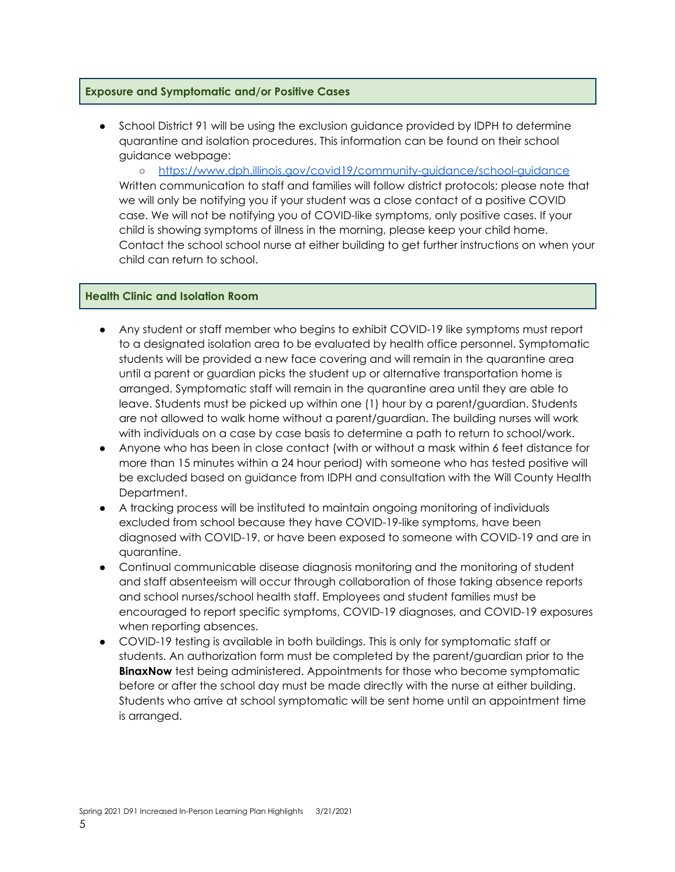#### **Exposure and Symptomatic and/or Positive Cases**

School District 91 will be using the exclusion guidance provided by IDPH to determine quarantine and isolation procedures. This information can be found on their school guidance webpage:

○ <https://www.dph.illinois.gov/covid19/community-guidance/school-guidance> Written communication to staff and families will follow district protocols; please note that we will only be notifying you if your student was a close contact of a positive COVID case. We will not be notifying you of COVID-like symptoms, only positive cases. If your child is showing symptoms of illness in the morning, please keep your child home. Contact the school school nurse at either building to get further instructions on when your child can return to school.

#### **Health Clinic and Isolation Room**

- Any student or staff member who begins to exhibit COVID-19 like symptoms must report to a designated isolation area to be evaluated by health office personnel. Symptomatic students will be provided a new face covering and will remain in the quarantine area until a parent or guardian picks the student up or alternative transportation home is arranged. Symptomatic staff will remain in the quarantine area until they are able to leave. Students must be picked up within one (1) hour by a parent/guardian. Students are not allowed to walk home without a parent/guardian. The building nurses will work with individuals on a case by case basis to determine a path to return to school/work.
- Anyone who has been in close contact (with or without a mask within 6 feet distance for more than 15 minutes within a 24 hour period) with someone who has tested positive will be excluded based on guidance from IDPH and consultation with the Will County Health Department.
- A tracking process will be instituted to maintain ongoing monitoring of individuals excluded from school because they have COVID-19-like symptoms, have been diagnosed with COVID-19, or have been exposed to someone with COVID-19 and are in quarantine.
- Continual communicable disease diagnosis monitoring and the monitoring of student and staff absenteeism will occur through collaboration of those taking absence reports and school nurses/school health staff. Employees and student families must be encouraged to report specific symptoms, COVID-19 diagnoses, and COVID-19 exposures when reporting absences.
- COVID-19 testing is available in both buildings. This is only for symptomatic staff or students. An authorization form must be completed by the parent/guardian prior to the **BinaxNow** test being administered. Appointments for those who become symptomatic before or after the school day must be made directly with the nurse at either building. Students who arrive at school symptomatic will be sent home until an appointment time is arranged.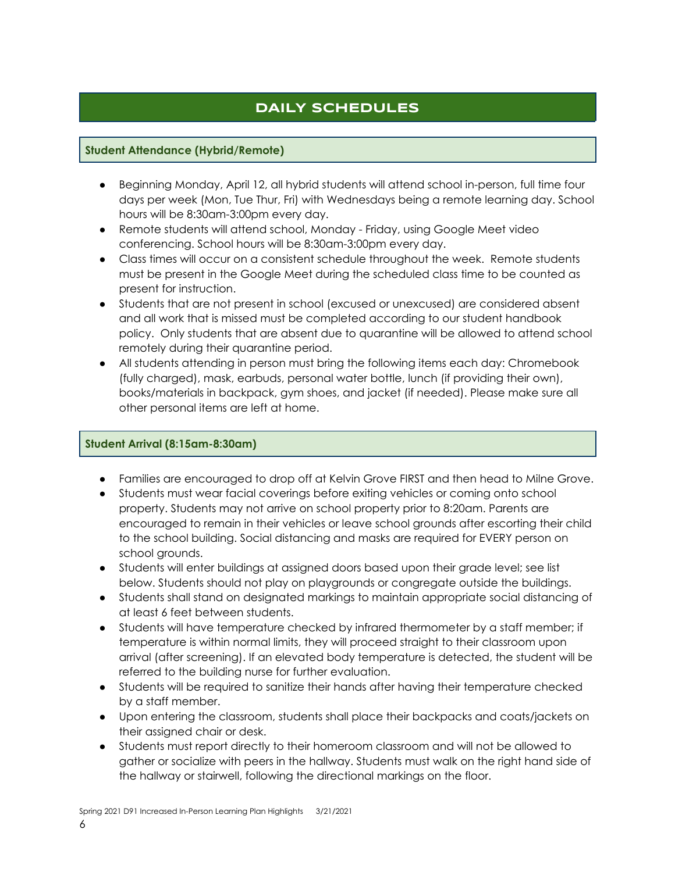## **DAILY SCHEDULES**

#### **Student Attendance (Hybrid/Remote)**

- Beginning Monday, April 12, all hybrid students will attend school in-person, full time four days per week (Mon, Tue Thur, Fri) with Wednesdays being a remote learning day. School hours will be 8:30am-3:00pm every day.
- Remote students will attend school, Monday Friday, using Google Meet video conferencing. School hours will be 8:30am-3:00pm every day.
- Class times will occur on a consistent schedule throughout the week. Remote students must be present in the Google Meet during the scheduled class time to be counted as present for instruction.
- Students that are not present in school (excused or unexcused) are considered absent and all work that is missed must be completed according to our student handbook policy. Only students that are absent due to quarantine will be allowed to attend school remotely during their quarantine period.
- All students attending in person must bring the following items each day: Chromebook (fully charged), mask, earbuds, personal water bottle, lunch (if providing their own), books/materials in backpack, gym shoes, and jacket (if needed). Please make sure all other personal items are left at home.

#### **Student Arrival (8:15am-8:30am)**

- Families are encouraged to drop off at Kelvin Grove FIRST and then head to Milne Grove.
- Students must wear facial coverings before exiting vehicles or coming onto school property. Students may not arrive on school property prior to 8:20am. Parents are encouraged to remain in their vehicles or leave school grounds after escorting their child to the school building. Social distancing and masks are required for EVERY person on school grounds.
- Students will enter buildings at assigned doors based upon their grade level; see list below. Students should not play on playgrounds or congregate outside the buildings.
- Students shall stand on designated markings to maintain appropriate social distancing of at least 6 feet between students.
- Students will have temperature checked by infrared thermometer by a staff member; if temperature is within normal limits, they will proceed straight to their classroom upon arrival (after screening). If an elevated body temperature is detected, the student will be referred to the building nurse for further evaluation.
- Students will be required to sanitize their hands after having their temperature checked by a staff member.
- Upon entering the classroom, students shall place their backpacks and coats/jackets on their assigned chair or desk.
- Students must report directly to their homeroom classroom and will not be allowed to gather or socialize with peers in the hallway. Students must walk on the right hand side of the hallway or stairwell, following the directional markings on the floor.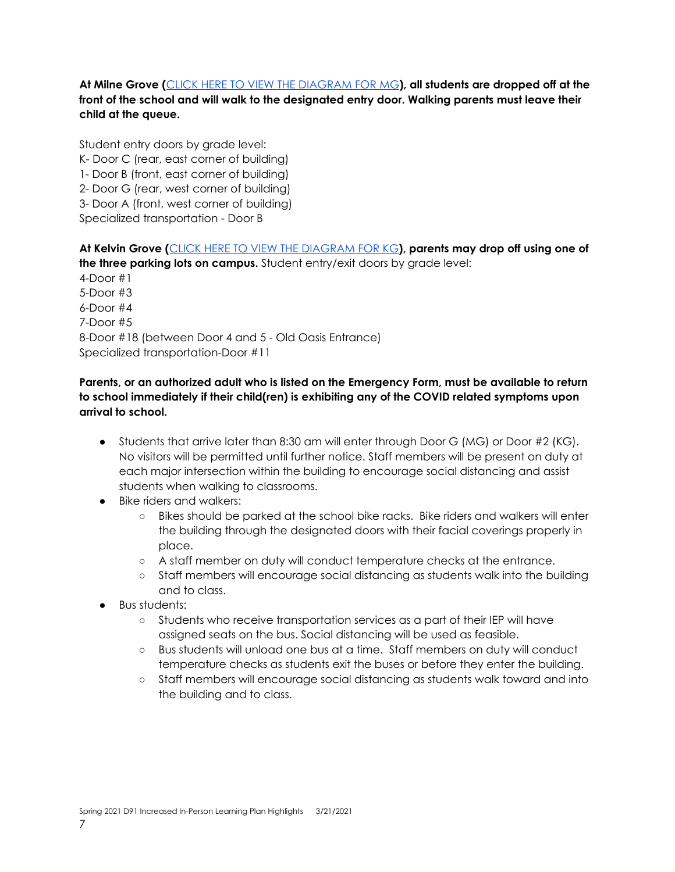**At Milne Grove (**CLICK HERE TO VIEW THE [DIAGRAM](https://drive.google.com/file/d/1FeVw0jkGRBL0V-Vm3FRADgBaW5DdbWd0/view?usp=sharing) FOR MG**), all students are dropped off at the front of the school and will walk to the designated entry door. Walking parents must leave their child at the queue.**

Student entry doors by grade level: K- Door C (rear, east corner of building) 1- Door B (front, east corner of building) 2- Door G (rear, west corner of building) 3- Door A (front, west corner of building) Specialized transportation - Door B

**At Kelvin Grove (**CLICK HERE TO VIEW THE [DIAGRAM](https://drive.google.com/file/d/1BCusc_nEIS6NGPzIXVXFjGHkBMfwuGrQ/view?usp=sharing) FOR KG**), parents may drop off using one of the three parking lots on campus.** Student entry/exit doors by grade level: 4-Door #1 5-Door #3 6-Door #4 7-Door #5 8-Door #18 (between Door 4 and 5 - Old Oasis Entrance) Specialized transportation-Door #11

#### **Parents, or an authorized adult who is listed on the Emergency Form, must be available to return to school immediately if their child(ren) is exhibiting any of the COVID related symptoms upon arrival to school.**

- Students that arrive later than 8:30 am will enter through Door G (MG) or Door #2 (KG). No visitors will be permitted until further notice. Staff members will be present on duty at each major intersection within the building to encourage social distancing and assist students when walking to classrooms.
- Bike riders and walkers:
	- Bikes should be parked at the school bike racks. Bike riders and walkers will enter the building through the designated doors with their facial coverings properly in place.
	- A staff member on duty will conduct temperature checks at the entrance.
	- Staff members will encourage social distancing as students walk into the building and to class.
- Bus students:
	- Students who receive transportation services as a part of their IEP will have assigned seats on the bus. Social distancing will be used as feasible.
	- Bus students will unload one bus at a time. Staff members on duty will conduct temperature checks as students exit the buses or before they enter the building.
	- Staff members will encourage social distancing as students walk toward and into the building and to class.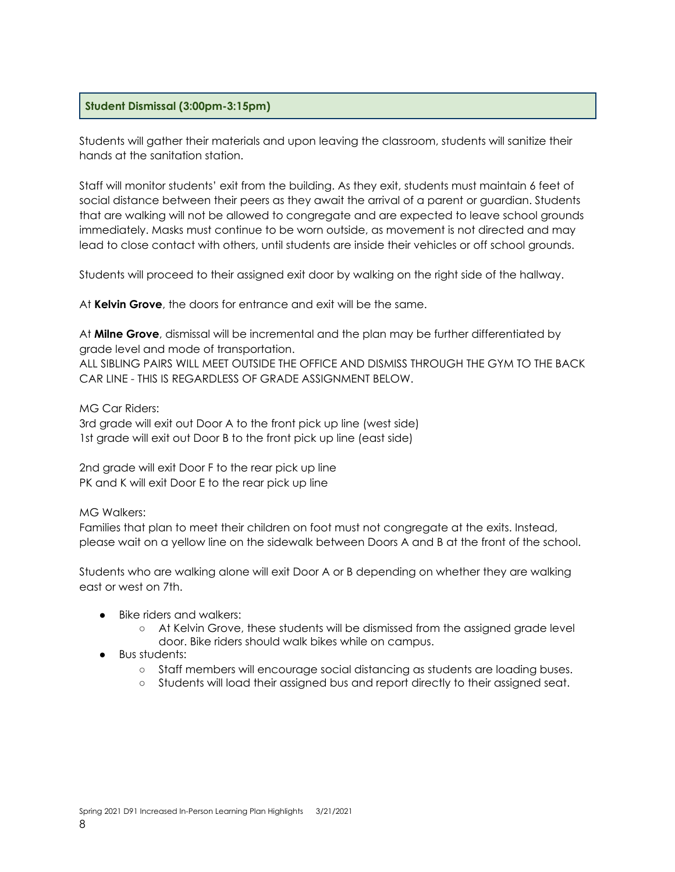#### **Student Dismissal (3:00pm-3:15pm)**

Students will gather their materials and upon leaving the classroom, students will sanitize their hands at the sanitation station.

Staff will monitor students' exit from the building. As they exit, students must maintain 6 feet of social distance between their peers as they await the arrival of a parent or guardian. Students that are walking will not be allowed to congregate and are expected to leave school grounds immediately. Masks must continue to be worn outside, as movement is not directed and may lead to close contact with others, until students are inside their vehicles or off school grounds.

Students will proceed to their assigned exit door by walking on the right side of the hallway.

At **Kelvin Grove**, the doors for entrance and exit will be the same.

At **Milne Grove**, dismissal will be incremental and the plan may be further differentiated by grade level and mode of transportation.

ALL SIBLING PAIRS WILL MEET OUTSIDE THE OFFICE AND DISMISS THROUGH THE GYM TO THE BACK CAR LINE - THIS IS REGARDLESS OF GRADE ASSIGNMENT BELOW.

#### MG Car Riders:

3rd grade will exit out Door A to the front pick up line (west side) 1st grade will exit out Door B to the front pick up line (east side)

2nd grade will exit Door F to the rear pick up line PK and K will exit Door E to the rear pick up line

MG Walkers:

Families that plan to meet their children on foot must not congregate at the exits. Instead, please wait on a yellow line on the sidewalk between Doors A and B at the front of the school.

Students who are walking alone will exit Door A or B depending on whether they are walking east or west on 7th.

- Bike riders and walkers:
	- At Kelvin Grove, these students will be dismissed from the assigned grade level door. Bike riders should walk bikes while on campus.
- Bus students:
	- Staff members will encourage social distancing as students are loading buses.
	- Students will load their assigned bus and report directly to their assigned seat.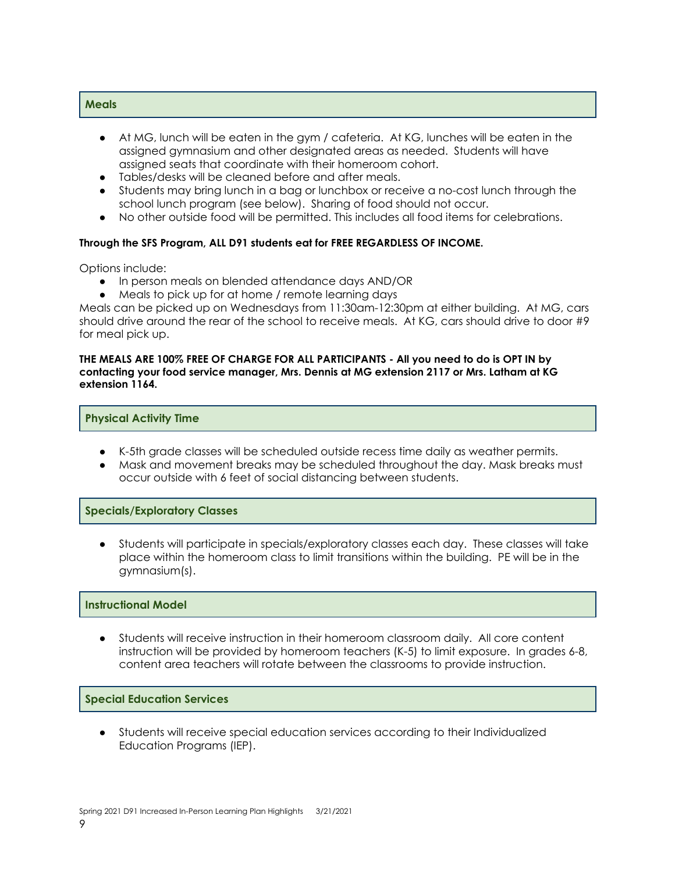#### **Meals**

- At MG, lunch will be eaten in the gym / cafeteria. At KG, lunches will be eaten in the assigned gymnasium and other designated areas as needed. Students will have assigned seats that coordinate with their homeroom cohort.
- Tables/desks will be cleaned before and after meals.
- Students may bring lunch in a bag or lunchbox or receive a no-cost lunch through the school lunch program (see below). Sharing of food should not occur.
- No other outside food will be permitted. This includes all food items for celebrations.

#### **Through the SFS Program, ALL D91 students eat for FREE REGARDLESS OF INCOME.**

Options include:

- In person meals on blended attendance days AND/OR
- Meals to pick up for at home / remote learning days

Meals can be picked up on Wednesdays from 11:30am-12:30pm at either building. At MG, cars should drive around the rear of the school to receive meals. At KG, cars should drive to door #9 for meal pick up.

#### THE MEALS ARE 100% FREE OF CHARGE FOR ALL PARTICIPANTS - All you need to do is OPT IN by **contacting your food service manager, Mrs. Dennis at MG extension 2117 or Mrs. Latham at KG extension 1164.**

#### **Physical Activity Time**

- K-5th grade classes will be scheduled outside recess time daily as weather permits.
- Mask and movement breaks may be scheduled throughout the day. Mask breaks must occur outside with 6 feet of social distancing between students.

#### **Specials/Exploratory Classes**

Students will participate in specials/exploratory classes each day. These classes will take place within the homeroom class to limit transitions within the building. PE will be in the gymnasium(s).

#### **Instructional Model**

Students will receive instruction in their homeroom classroom daily. All core content instruction will be provided by homeroom teachers (K-5) to limit exposure. In grades 6-8, content area teachers will rotate between the classrooms to provide instruction.

#### **Special Education Services**

● Students will receive special education services according to their Individualized Education Programs (IEP).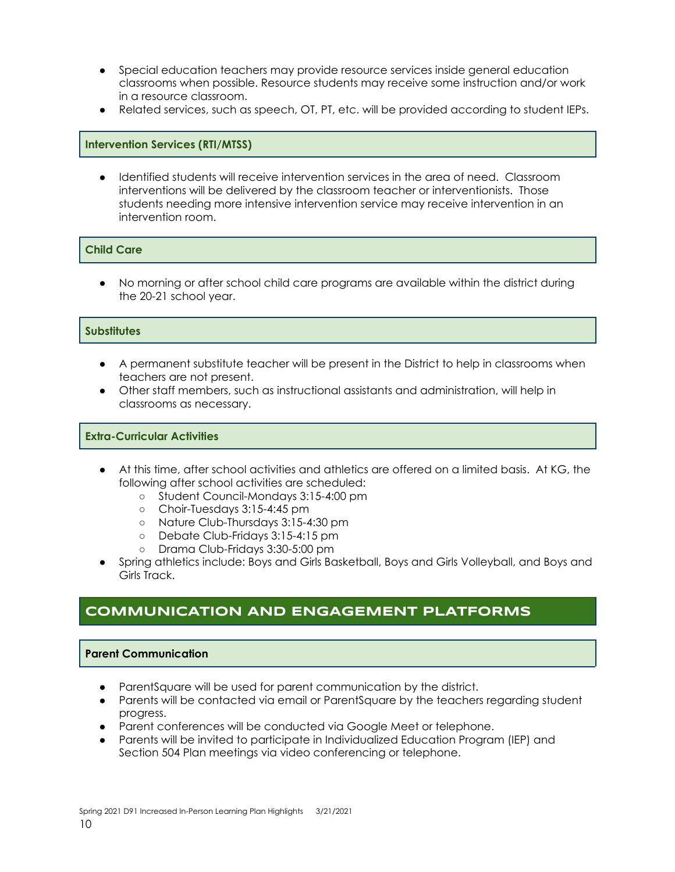- Special education teachers may provide resource services inside general education classrooms when possible. Resource students may receive some instruction and/or work in a resource classroom.
- Related services, such as speech, OT, PT, etc. will be provided according to student IEPs.

#### **Intervention Services (RTI/MTSS)**

Identified students will receive intervention services in the area of need. Classroom interventions will be delivered by the classroom teacher or interventionists. Those students needing more intensive intervention service may receive intervention in an intervention room.

#### **Child Care**

● No morning or after school child care programs are available within the district during the 20-21 school year.

#### **Substitutes**

- A permanent substitute teacher will be present in the District to help in classrooms when teachers are not present.
- Other staff members, such as instructional assistants and administration, will help in classrooms as necessary.

#### **Extra-Curricular Activities**

- At this time, after school activities and athletics are offered on a limited basis. At KG, the following after school activities are scheduled:
	- Student Council-Mondays 3:15-4:00 pm
	- Choir-Tuesdays 3:15-4:45 pm
	- Nature Club-Thursdays 3:15-4:30 pm
	- Debate Club-Fridays 3:15-4:15 pm
	- Drama Club-Fridays 3:30-5:00 pm
- Spring athletics include: Boys and Girls Basketball, Boys and Girls Volleyball, and Boys and Girls Track.

### **COMMUNICATION AND ENGAGEMENT PLATFORMS**

#### **Parent Communication**

- ParentSquare will be used for parent communication by the district.
- Parents will be contacted via email or ParentSquare by the teachers regarding student progress.
- Parent conferences will be conducted via Google Meet or telephone.
- Parents will be invited to participate in Individualized Education Program (IEP) and Section 504 Plan meetings via video conferencing or telephone.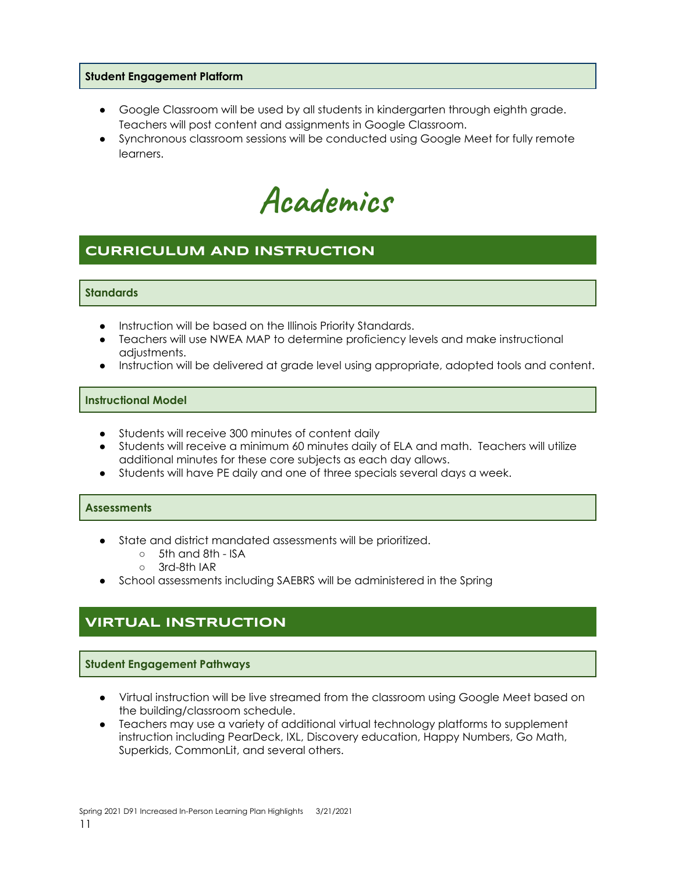#### **Student Engagement Platform**

- Google Classroom will be used by all students in kindergarten through eighth grade. Teachers will post content and assignments in Google Classroom.
- Synchronous classroom sessions will be conducted using Google Meet for fully remote learners.

**Academics**

## **CURRICULUM AND INSTRUCTION**

#### **Standards**

- Instruction will be based on the Illinois Priority Standards.
- Teachers will use NWEA MAP to determine proficiency levels and make instructional adjustments.
- Instruction will be delivered at grade level using appropriate, adopted tools and content.

#### **Instructional Model**

- Students will receive 300 minutes of content daily
- Students will receive a minimum 60 minutes daily of ELA and math. Teachers will utilize additional minutes for these core subjects as each day allows.
- Students will have PE daily and one of three specials several days a week.

#### **Assessments**

- State and district mandated assessments will be prioritized.
	- 5th and 8th ISA
	- 3rd-8th IAR
- School assessments including SAEBRS will be administered in the Spring

## **VIRTUAL INSTRUCTION**

#### **Student Engagement Pathways**

- Virtual instruction will be live streamed from the classroom using Google Meet based on the building/classroom schedule.
- Teachers may use a variety of additional virtual technology platforms to supplement instruction including PearDeck, IXL, Discovery education, Happy Numbers, Go Math, Superkids, CommonLit, and several others.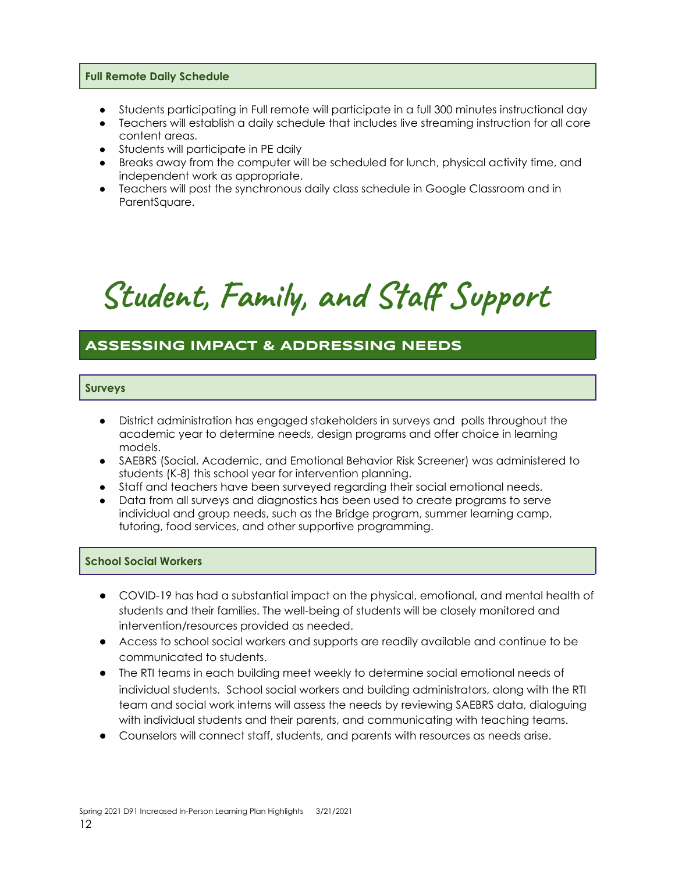#### **Full Remote Daily Schedule**

- Students participating in Full remote will participate in a full 300 minutes instructional day
- Teachers will establish a daily schedule that includes live streaming instruction for all core content areas.
- Students will participate in PE daily
- Breaks away from the computer will be scheduled for lunch, physical activity time, and independent work as appropriate.
- Teachers will post the synchronous daily class schedule in Google Classroom and in ParentSquare.

# **Student, Family, and Staff Support**

## **ASSESSING IMPACT & ADDRESSING NEEDS**

#### **Surveys**

- District administration has engaged stakeholders in surveys and polls throughout the academic year to determine needs, design programs and offer choice in learning models.
- SAEBRS (Social, Academic, and Emotional Behavior Risk Screener) was administered to students (K-8) this school year for intervention planning.
- Staff and teachers have been surveyed regarding their social emotional needs.
- Data from all surveys and diagnostics has been used to create programs to serve individual and group needs, such as the Bridge program, summer learning camp, tutoring, food services, and other supportive programming.

#### **School Social Workers**

- COVID-19 has had a substantial impact on the physical, emotional, and mental health of students and their families. The well-being of students will be closely monitored and intervention/resources provided as needed.
- Access to school social workers and supports are readily available and continue to be communicated to students.
- The RTI teams in each building meet weekly to determine social emotional needs of individual students. School social workers and building administrators, along with the RTI team and social work interns will assess the needs by reviewing SAEBRS data, dialoguing with individual students and their parents, and communicating with teaching teams.
- Counselors will connect staff, students, and parents with resources as needs arise.